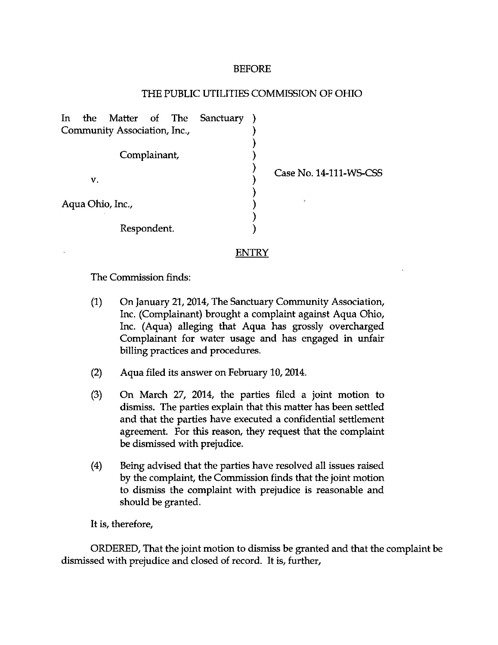## BEFORE

## THE PUBLIC UTILITIES COMMISSION OF OHIO

In the Matter of The Sanctuary Community Association, Inc., Complainant, V. Aqua Ohio, Inc., Respondent. Case No. 14-111-WS-CSS

ENTRY

The Commission finds:

- (1) On January 21,2014, The Sanctuary Community Association, Inc. (Complainant) brought a complaint against Aqua Ohio, Inc. (Aqua) alleging that Aqua has grossly overcharged Complainant for water usage and has engaged in unfair billing practices and procedures.
- (2) Aqua filed its answer on February 10,2014.
- (3) On March 27, 2014, the parties filed a joint motion to dismiss. The parties explain that this matter has been settled and that the parties have executed a confidential settlement agreement. For this reason, they request that the complaint be dismissed with prejudice.
- (4) Being advised that the parties have resolved all issues raised by the complaint, the Commission finds that the joint motion to dismiss the complaint with prejudice is reasonable and should be granted.

It is, therefore,

ORDERED, That the joint motion to dismiss be granted and that the complaint be dismissed with prejudice and closed of record. It is, further.